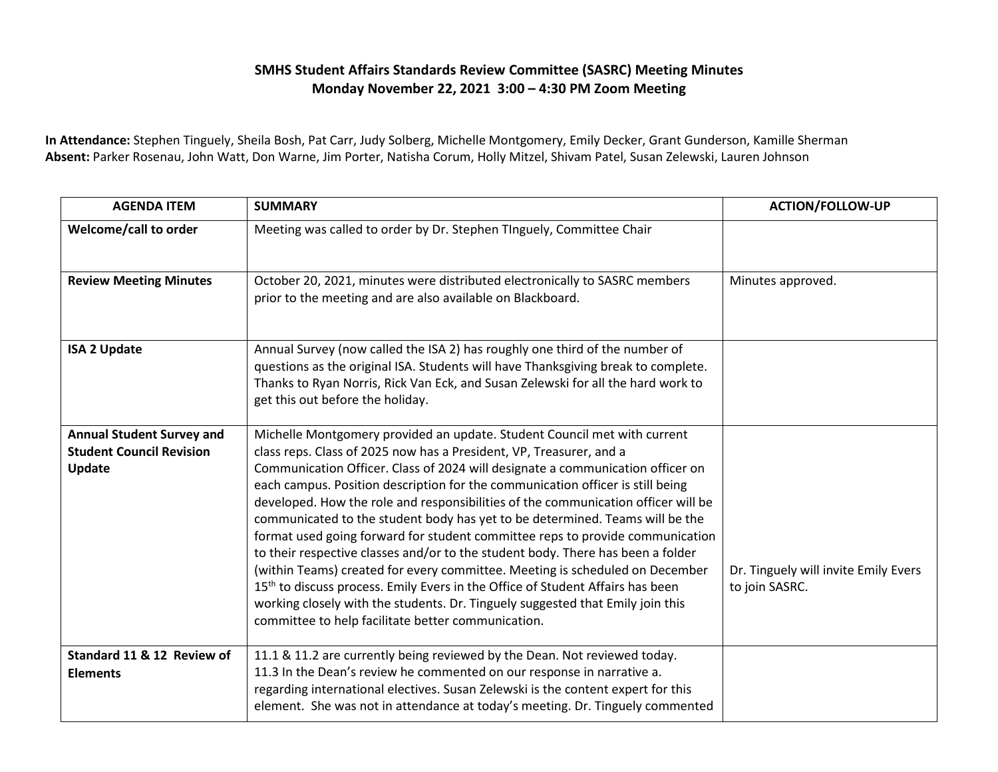## **SMHS Student Affairs Standards Review Committee (SASRC) Meeting Minutes Monday November 22, 2021 3:00 – 4:30 PM Zoom Meeting**

**In Attendance:** Stephen Tinguely, Sheila Bosh, Pat Carr, Judy Solberg, Michelle Montgomery, Emily Decker, Grant Gunderson, Kamille Sherman **Absent:** Parker Rosenau, John Watt, Don Warne, Jim Porter, Natisha Corum, Holly Mitzel, Shivam Patel, Susan Zelewski, Lauren Johnson

| <b>AGENDA ITEM</b>                                                            | <b>SUMMARY</b>                                                                                                                                                                                                                                                                                                                                                                                                                                                                                                                                                                                                                                                                                                                                                                                                                                                                                                                                                                     | <b>ACTION/FOLLOW-UP</b>                                |
|-------------------------------------------------------------------------------|------------------------------------------------------------------------------------------------------------------------------------------------------------------------------------------------------------------------------------------------------------------------------------------------------------------------------------------------------------------------------------------------------------------------------------------------------------------------------------------------------------------------------------------------------------------------------------------------------------------------------------------------------------------------------------------------------------------------------------------------------------------------------------------------------------------------------------------------------------------------------------------------------------------------------------------------------------------------------------|--------------------------------------------------------|
| Welcome/call to order                                                         | Meeting was called to order by Dr. Stephen TInguely, Committee Chair                                                                                                                                                                                                                                                                                                                                                                                                                                                                                                                                                                                                                                                                                                                                                                                                                                                                                                               |                                                        |
| <b>Review Meeting Minutes</b>                                                 | October 20, 2021, minutes were distributed electronically to SASRC members<br>prior to the meeting and are also available on Blackboard.                                                                                                                                                                                                                                                                                                                                                                                                                                                                                                                                                                                                                                                                                                                                                                                                                                           | Minutes approved.                                      |
| <b>ISA 2 Update</b>                                                           | Annual Survey (now called the ISA 2) has roughly one third of the number of<br>questions as the original ISA. Students will have Thanksgiving break to complete.<br>Thanks to Ryan Norris, Rick Van Eck, and Susan Zelewski for all the hard work to<br>get this out before the holiday.                                                                                                                                                                                                                                                                                                                                                                                                                                                                                                                                                                                                                                                                                           |                                                        |
| <b>Annual Student Survey and</b><br><b>Student Council Revision</b><br>Update | Michelle Montgomery provided an update. Student Council met with current<br>class reps. Class of 2025 now has a President, VP, Treasurer, and a<br>Communication Officer. Class of 2024 will designate a communication officer on<br>each campus. Position description for the communication officer is still being<br>developed. How the role and responsibilities of the communication officer will be<br>communicated to the student body has yet to be determined. Teams will be the<br>format used going forward for student committee reps to provide communication<br>to their respective classes and/or to the student body. There has been a folder<br>(within Teams) created for every committee. Meeting is scheduled on December<br>15 <sup>th</sup> to discuss process. Emily Evers in the Office of Student Affairs has been<br>working closely with the students. Dr. Tinguely suggested that Emily join this<br>committee to help facilitate better communication. | Dr. Tinguely will invite Emily Evers<br>to join SASRC. |
| Standard 11 & 12 Review of<br><b>Elements</b>                                 | 11.1 & 11.2 are currently being reviewed by the Dean. Not reviewed today.<br>11.3 In the Dean's review he commented on our response in narrative a.<br>regarding international electives. Susan Zelewski is the content expert for this<br>element. She was not in attendance at today's meeting. Dr. Tinguely commented                                                                                                                                                                                                                                                                                                                                                                                                                                                                                                                                                                                                                                                           |                                                        |